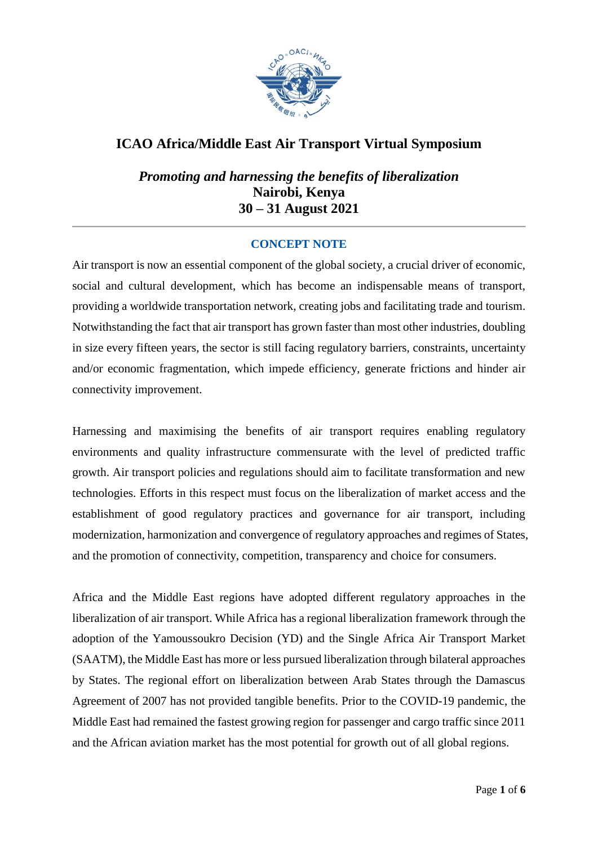

## **ICAO Africa/Middle East Air Transport Virtual Symposium**

*Promoting and harnessing the benefits of liberalization* **Nairobi, Kenya 30 – 31 August 2021**

#### **CONCEPT NOTE**

Air transport is now an essential component of the global society, a crucial driver of economic, social and cultural development, which has become an indispensable means of transport, providing a worldwide transportation network, creating jobs and facilitating trade and tourism. Notwithstanding the fact that air transport has grown faster than most other industries, doubling in size every fifteen years, the sector is still facing regulatory barriers, constraints, uncertainty and/or economic fragmentation, which impede efficiency, generate frictions and hinder air connectivity improvement.

Harnessing and maximising the benefits of air transport requires enabling regulatory environments and quality infrastructure commensurate with the level of predicted traffic growth. Air transport policies and regulations should aim to facilitate transformation and new technologies. Efforts in this respect must focus on the liberalization of market access and the establishment of good regulatory practices and governance for air transport, including modernization, harmonization and convergence of regulatory approaches and regimes of States, and the promotion of connectivity, competition, transparency and choice for consumers.

Africa and the Middle East regions have adopted different regulatory approaches in the liberalization of air transport. While Africa has a regional liberalization framework through the adoption of the Yamoussoukro Decision (YD) and the Single Africa Air Transport Market (SAATM), the Middle East has more or less pursued liberalization through bilateral approaches by States. The regional effort on liberalization between Arab States through the Damascus Agreement of 2007 has not provided tangible benefits. Prior to the COVID-19 pandemic, the Middle East had remained the fastest growing region for passenger and cargo traffic since 2011 and the African aviation market has the most potential for growth out of all global regions.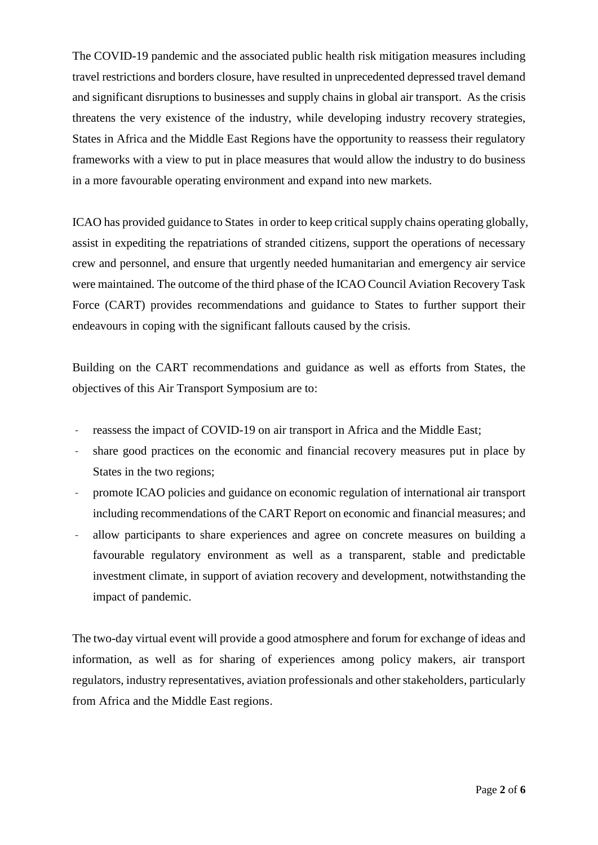The COVID-19 pandemic and the associated public health risk mitigation measures including travel restrictions and borders closure, have resulted in unprecedented depressed travel demand and significant disruptions to businesses and supply chains in global air transport. As the crisis threatens the very existence of the industry, while developing industry recovery strategies, States in Africa and the Middle East Regions have the opportunity to reassess their regulatory frameworks with a view to put in place measures that would allow the industry to do business in a more favourable operating environment and expand into new markets.

ICAO has provided guidance to States in order to keep critical supply chains operating globally, assist in expediting the repatriations of stranded citizens, support the operations of necessary crew and personnel, and ensure that urgently needed humanitarian and emergency air service were maintained. The outcome of the third phase of the ICAO Council Aviation Recovery Task Force (CART) provides recommendations and guidance to States to further support their endeavours in coping with the significant fallouts caused by the crisis.

Building on the CART recommendations and guidance as well as efforts from States, the objectives of this Air Transport Symposium are to:

- reassess the impact of COVID-19 on air transport in Africa and the Middle East;
- share good practices on the economic and financial recovery measures put in place by States in the two regions;
- promote ICAO policies and guidance on economic regulation of international air transport including recommendations of the CART Report on economic and financial measures; and
- allow participants to share experiences and agree on concrete measures on building a favourable regulatory environment as well as a transparent, stable and predictable investment climate, in support of aviation recovery and development, notwithstanding the impact of pandemic.

The two-day virtual event will provide a good atmosphere and forum for exchange of ideas and information, as well as for sharing of experiences among policy makers, air transport regulators, industry representatives, aviation professionals and other stakeholders, particularly from Africa and the Middle East regions.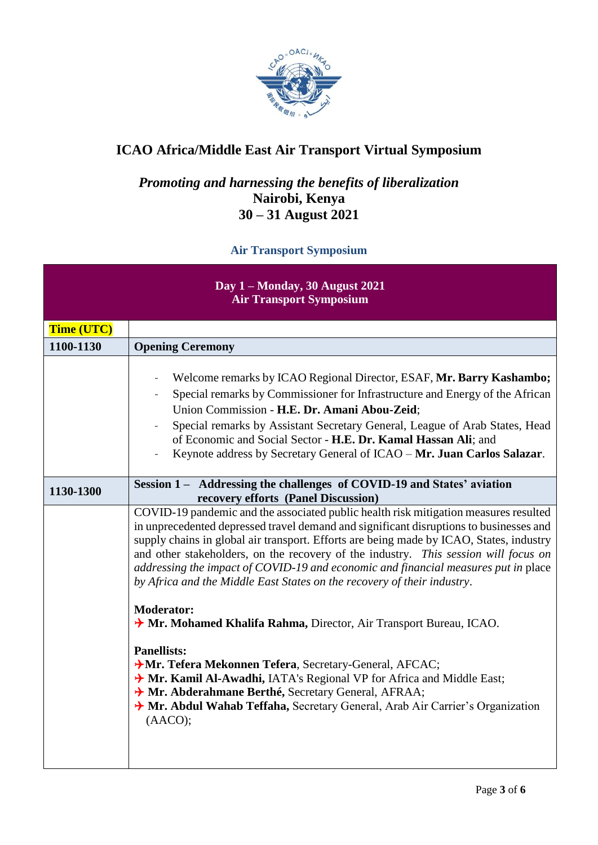

# **ICAO Africa/Middle East Air Transport Virtual Symposium**

## *Promoting and harnessing the benefits of liberalization* **Nairobi, Kenya 30 – 31 August 2021**

### **Air Transport Symposium**

| Day 1 – Monday, 30 August 2021<br><b>Air Transport Symposium</b> |                                                                                                                                                                                                                                                                                                                                                                                                                                                                                                                                   |  |
|------------------------------------------------------------------|-----------------------------------------------------------------------------------------------------------------------------------------------------------------------------------------------------------------------------------------------------------------------------------------------------------------------------------------------------------------------------------------------------------------------------------------------------------------------------------------------------------------------------------|--|
| <b>Time (UTC)</b>                                                |                                                                                                                                                                                                                                                                                                                                                                                                                                                                                                                                   |  |
| 1100-1130                                                        | <b>Opening Ceremony</b>                                                                                                                                                                                                                                                                                                                                                                                                                                                                                                           |  |
|                                                                  | Welcome remarks by ICAO Regional Director, ESAF, Mr. Barry Kashambo;<br>$\overline{\phantom{a}}$<br>Special remarks by Commissioner for Infrastructure and Energy of the African<br>Union Commission - H.E. Dr. Amani Abou-Zeid;<br>Special remarks by Assistant Secretary General, League of Arab States, Head<br>of Economic and Social Sector - H.E. Dr. Kamal Hassan Ali; and<br>Keynote address by Secretary General of ICAO - Mr. Juan Carlos Salazar.                                                                      |  |
| 1130-1300                                                        | Session 1 – Addressing the challenges of COVID-19 and States' aviation<br>recovery efforts (Panel Discussion)                                                                                                                                                                                                                                                                                                                                                                                                                     |  |
|                                                                  | COVID-19 pandemic and the associated public health risk mitigation measures resulted<br>in unprecedented depressed travel demand and significant disruptions to businesses and<br>supply chains in global air transport. Efforts are being made by ICAO, States, industry<br>and other stakeholders, on the recovery of the industry. This session will focus on<br>addressing the impact of COVID-19 and economic and financial measures put in place<br>by Africa and the Middle East States on the recovery of their industry. |  |
|                                                                  | <b>Moderator:</b><br>> Mr. Mohamed Khalifa Rahma, Director, Air Transport Bureau, ICAO.                                                                                                                                                                                                                                                                                                                                                                                                                                           |  |
|                                                                  | <b>Panellists:</b><br>AMr. Tefera Mekonnen Tefera, Secretary-General, AFCAC;<br>A Mr. Kamil Al-Awadhi, IATA's Regional VP for Africa and Middle East;<br>> Mr. Abderahmane Berthé, Secretary General, AFRAA;<br>A Mr. Abdul Wahab Teffaha, Secretary General, Arab Air Carrier's Organization<br>(AACO);                                                                                                                                                                                                                          |  |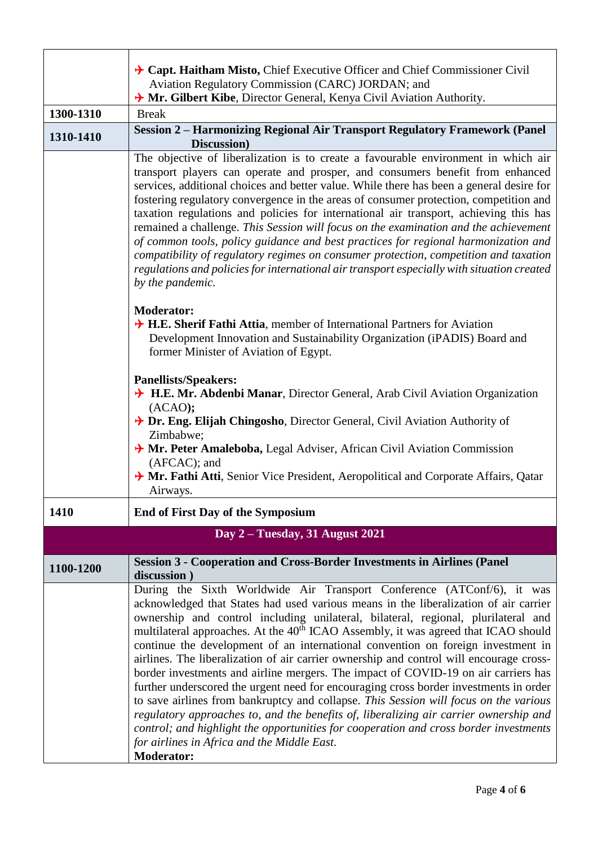|           | $\rightarrow$ Capt. Haitham Misto, Chief Executive Officer and Chief Commissioner Civil<br>Aviation Regulatory Commission (CARC) JORDAN; and                                                                                                                                                                                                                                                                                                                                                                                                                                                                                                                                                                                                                                                                                                                                                                                                                                                                                                                       |
|-----------|--------------------------------------------------------------------------------------------------------------------------------------------------------------------------------------------------------------------------------------------------------------------------------------------------------------------------------------------------------------------------------------------------------------------------------------------------------------------------------------------------------------------------------------------------------------------------------------------------------------------------------------------------------------------------------------------------------------------------------------------------------------------------------------------------------------------------------------------------------------------------------------------------------------------------------------------------------------------------------------------------------------------------------------------------------------------|
|           | A Mr. Gilbert Kibe, Director General, Kenya Civil Aviation Authority.                                                                                                                                                                                                                                                                                                                                                                                                                                                                                                                                                                                                                                                                                                                                                                                                                                                                                                                                                                                              |
| 1300-1310 | <b>Break</b>                                                                                                                                                                                                                                                                                                                                                                                                                                                                                                                                                                                                                                                                                                                                                                                                                                                                                                                                                                                                                                                       |
| 1310-1410 | <b>Session 2 - Harmonizing Regional Air Transport Regulatory Framework (Panel</b><br>Discussion)                                                                                                                                                                                                                                                                                                                                                                                                                                                                                                                                                                                                                                                                                                                                                                                                                                                                                                                                                                   |
|           | The objective of liberalization is to create a favourable environment in which air<br>transport players can operate and prosper, and consumers benefit from enhanced<br>services, additional choices and better value. While there has been a general desire for<br>fostering regulatory convergence in the areas of consumer protection, competition and<br>taxation regulations and policies for international air transport, achieving this has<br>remained a challenge. This Session will focus on the examination and the achievement<br>of common tools, policy guidance and best practices for regional harmonization and<br>compatibility of regulatory regimes on consumer protection, competition and taxation<br>regulations and policies for international air transport especially with situation created<br>by the pandemic.                                                                                                                                                                                                                         |
|           | <b>Moderator:</b><br>$\rightarrow$ H.E. Sherif Fathi Attia, member of International Partners for Aviation<br>Development Innovation and Sustainability Organization (iPADIS) Board and<br>former Minister of Aviation of Egypt.                                                                                                                                                                                                                                                                                                                                                                                                                                                                                                                                                                                                                                                                                                                                                                                                                                    |
|           | <b>Panellists/Speakers:</b><br>H.E. Mr. Abdenbi Manar, Director General, Arab Civil Aviation Organization<br>(ACAO);<br>$\rightarrow$ Dr. Eng. Elijah Chingosho, Director General, Civil Aviation Authority of                                                                                                                                                                                                                                                                                                                                                                                                                                                                                                                                                                                                                                                                                                                                                                                                                                                     |
|           | Zimbabwe;<br>A Mr. Peter Amaleboba, Legal Adviser, African Civil Aviation Commission<br>(AFCAC); and<br>A Mr. Fathi Atti, Senior Vice President, Aeropolitical and Corporate Affairs, Qatar<br>Airways.                                                                                                                                                                                                                                                                                                                                                                                                                                                                                                                                                                                                                                                                                                                                                                                                                                                            |
| 1410      | <b>End of First Day of the Symposium</b>                                                                                                                                                                                                                                                                                                                                                                                                                                                                                                                                                                                                                                                                                                                                                                                                                                                                                                                                                                                                                           |
|           | Day 2 – Tuesday, 31 August 2021                                                                                                                                                                                                                                                                                                                                                                                                                                                                                                                                                                                                                                                                                                                                                                                                                                                                                                                                                                                                                                    |
| 1100-1200 | <b>Session 3 - Cooperation and Cross-Border Investments in Airlines (Panel</b><br>discussion)                                                                                                                                                                                                                                                                                                                                                                                                                                                                                                                                                                                                                                                                                                                                                                                                                                                                                                                                                                      |
|           | During the Sixth Worldwide Air Transport Conference (ATConf/6), it was<br>acknowledged that States had used various means in the liberalization of air carrier<br>ownership and control including unilateral, bilateral, regional, plurilateral and<br>multilateral approaches. At the 40 <sup>th</sup> ICAO Assembly, it was agreed that ICAO should<br>continue the development of an international convention on foreign investment in<br>airlines. The liberalization of air carrier ownership and control will encourage cross-<br>border investments and airline mergers. The impact of COVID-19 on air carriers has<br>further underscored the urgent need for encouraging cross border investments in order<br>to save airlines from bankruptcy and collapse. This Session will focus on the various<br>regulatory approaches to, and the benefits of, liberalizing air carrier ownership and<br>control; and highlight the opportunities for cooperation and cross border investments<br>for airlines in Africa and the Middle East.<br><b>Moderator:</b> |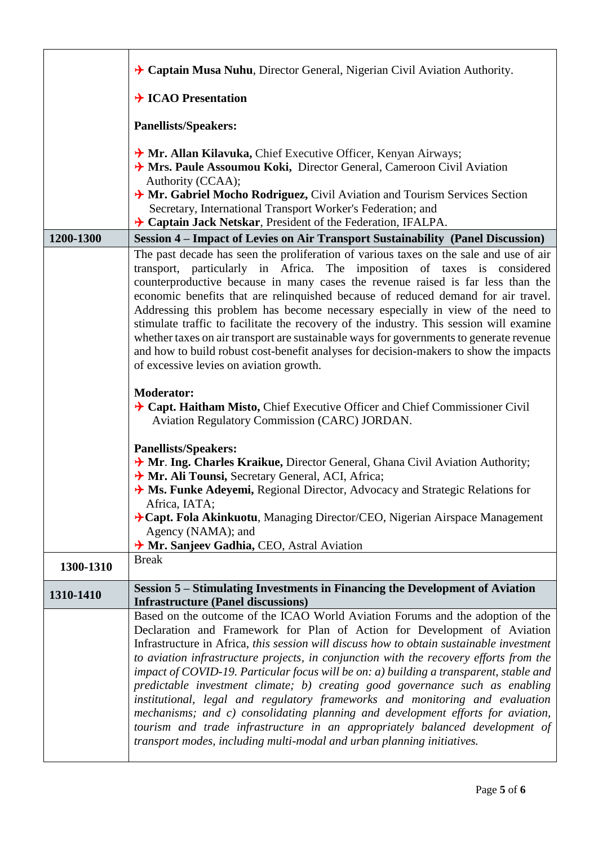|           | $\rightarrow$ Captain Musa Nuhu, Director General, Nigerian Civil Aviation Authority.                                                                                                                                                                                                                                                                                                                                                                                                                                                                                                                                                                                                                                                                                                                                                                      |
|-----------|------------------------------------------------------------------------------------------------------------------------------------------------------------------------------------------------------------------------------------------------------------------------------------------------------------------------------------------------------------------------------------------------------------------------------------------------------------------------------------------------------------------------------------------------------------------------------------------------------------------------------------------------------------------------------------------------------------------------------------------------------------------------------------------------------------------------------------------------------------|
|           | $\rightarrow$ ICAO Presentation                                                                                                                                                                                                                                                                                                                                                                                                                                                                                                                                                                                                                                                                                                                                                                                                                            |
|           | <b>Panellists/Speakers:</b>                                                                                                                                                                                                                                                                                                                                                                                                                                                                                                                                                                                                                                                                                                                                                                                                                                |
|           | $\rightarrow$ Mr. Allan Kilavuka, Chief Executive Officer, Kenyan Airways;<br>> Mrs. Paule Assoumou Koki, Director General, Cameroon Civil Aviation<br>Authority (CCAA);<br>A Mr. Gabriel Mocho Rodriguez, Civil Aviation and Tourism Services Section<br>Secretary, International Transport Worker's Federation; and<br>$\rightarrow$ Captain Jack Netskar, President of the Federation, IFALPA.                                                                                                                                                                                                                                                                                                                                                                                                                                                          |
| 1200-1300 | Session 4 – Impact of Levies on Air Transport Sustainability (Panel Discussion)                                                                                                                                                                                                                                                                                                                                                                                                                                                                                                                                                                                                                                                                                                                                                                            |
|           | The past decade has seen the proliferation of various taxes on the sale and use of air<br>transport, particularly in Africa. The imposition of taxes is considered<br>counterproductive because in many cases the revenue raised is far less than the<br>economic benefits that are relinquished because of reduced demand for air travel.<br>Addressing this problem has become necessary especially in view of the need to<br>stimulate traffic to facilitate the recovery of the industry. This session will examine<br>whether taxes on air transport are sustainable ways for governments to generate revenue<br>and how to build robust cost-benefit analyses for decision-makers to show the impacts<br>of excessive levies on aviation growth.                                                                                                     |
|           | <b>Moderator:</b><br>$\rightarrow$ Capt. Haitham Misto, Chief Executive Officer and Chief Commissioner Civil<br>Aviation Regulatory Commission (CARC) JORDAN.                                                                                                                                                                                                                                                                                                                                                                                                                                                                                                                                                                                                                                                                                              |
|           | <b>Panellists/Speakers:</b><br>A Mr. Ing. Charles Kraikue, Director General, Ghana Civil Aviation Authority;<br>Ar. Ali Tounsi, Secretary General, ACI, Africa;<br>$\rightarrow$ Ms. Funke Adeyemi, Regional Director, Advocacy and Strategic Relations for<br>Africa, IATA;<br>→ Capt. Fola Akinkuotu, Managing Director/CEO, Nigerian Airspace Management<br>Agency (NAMA); and                                                                                                                                                                                                                                                                                                                                                                                                                                                                          |
|           | → Mr. Sanjeev Gadhia, CEO, Astral Aviation<br><b>Break</b>                                                                                                                                                                                                                                                                                                                                                                                                                                                                                                                                                                                                                                                                                                                                                                                                 |
| 1300-1310 |                                                                                                                                                                                                                                                                                                                                                                                                                                                                                                                                                                                                                                                                                                                                                                                                                                                            |
| 1310-1410 | Session 5 – Stimulating Investments in Financing the Development of Aviation<br><b>Infrastructure (Panel discussions)</b>                                                                                                                                                                                                                                                                                                                                                                                                                                                                                                                                                                                                                                                                                                                                  |
|           | Based on the outcome of the ICAO World Aviation Forums and the adoption of the<br>Declaration and Framework for Plan of Action for Development of Aviation<br>Infrastructure in Africa, this session will discuss how to obtain sustainable investment<br>to aviation infrastructure projects, in conjunction with the recovery efforts from the<br>impact of COVID-19. Particular focus will be on: $a$ ) building a transparent, stable and<br>predictable investment climate; b) creating good governance such as enabling<br>institutional, legal and regulatory frameworks and monitoring and evaluation<br>mechanisms; and c) consolidating planning and development efforts for aviation,<br>tourism and trade infrastructure in an appropriately balanced development of<br>transport modes, including multi-modal and urban planning initiatives. |